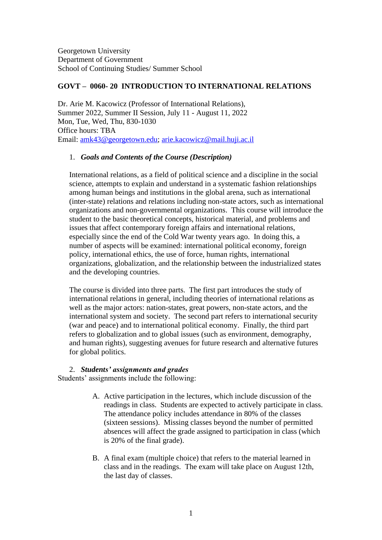Georgetown University Department of Government School of Continuing Studies/ Summer School

### **GOVT – 0060- 20 INTRODUCTION TO INTERNATIONAL RELATIONS**

Dr. Arie M. Kacowicz (Professor of International Relations), Summer 2022, Summer II Session, July 11 - August 11, 2022 Mon, Tue, Wed, Thu, 830-1030 Office hours: TBA Email: [amk43@georgetown.edu;](mailto:amk43@georgetown.edu) [arie.kacowicz@mail.huji.ac.il](mailto:arie.kacowicz@mail.huji.ac.il)

### 1. *Goals and Contents of the Course (Description)*

International relations, as a field of political science and a discipline in the social science, attempts to explain and understand in a systematic fashion relationships among human beings and institutions in the global arena, such as international (inter-state) relations and relations including non-state actors, such as international organizations and non-governmental organizations. This course will introduce the student to the basic theoretical concepts, historical material, and problems and issues that affect contemporary foreign affairs and international relations, especially since the end of the Cold War twenty years ago. In doing this, a number of aspects will be examined: international political economy, foreign policy, international ethics, the use of force, human rights, international organizations, globalization, and the relationship between the industrialized states and the developing countries.

The course is divided into three parts. The first part introduces the study of international relations in general, including theories of international relations as well as the major actors: nation-states, great powers, non-state actors, and the international system and society. The second part refers to international security (war and peace) and to international political economy. Finally, the third part refers to globalization and to global issues (such as environment, demography, and human rights), suggesting avenues for future research and alternative futures for global politics.

#### 2. *Students' assignments and grades*

Students' assignments include the following:

- A. Active participation in the lectures, which include discussion of the readings in class. Students are expected to actively participate in class. The attendance policy includes attendance in 80% of the classes (sixteen sessions). Missing classes beyond the number of permitted absences will affect the grade assigned to participation in class (which is 20% of the final grade).
- B. A final exam (multiple choice) that refers to the material learned in class and in the readings. The exam will take place on August 12th, the last day of classes.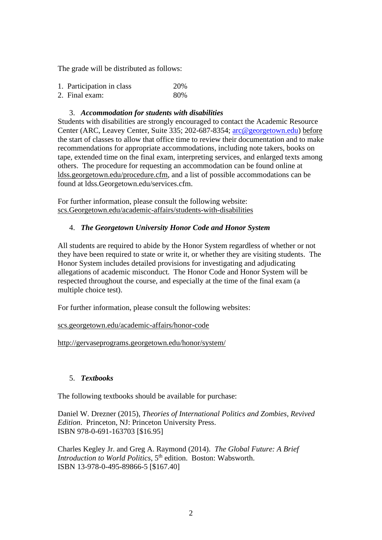The grade will be distributed as follows:

| 1. Participation in class | 20% |
|---------------------------|-----|
| 2. Final exam:            | 80% |

### 3. *Accommodation for students with disabilities*

Students with disabilities are strongly encouraged to contact the Academic Resource Center (ARC, Leavey Center, Suite 335; 202-687-8354; [arc@georgetown.edu\)](mailto:arc@georgetown.edu) before the start of classes to allow that office time to review their documentation and to make recommendations for appropriate accommodations, including note takers, books on tape, extended time on the final exam, interpreting services, and enlarged texts among others. The procedure for requesting an accommodation can be found online at ldss.georgetown.edu/procedure.cfm, and a list of possible accommodations can be found at ldss.Georgetown.edu/services.cfm.

For further information, please consult the following website: scs.Georgetown.edu/academic-affairs/students-with-disabilities

# 4. *The Georgetown University Honor Code and Honor System*

All students are required to abide by the Honor System regardless of whether or not they have been required to state or write it, or whether they are visiting students. The Honor System includes detailed provisions for investigating and adjudicating allegations of academic misconduct. The Honor Code and Honor System will be respected throughout the course, and especially at the time of the final exam (a multiple choice test).

For further information, please consult the following websites:

#### scs.georgetown.edu/academic-affairs/honor-code

http://gervaseprograms.georgetown.edu/honor/system/

# 5. *Textbooks*

The following textbooks should be available for purchase:

Daniel W. Drezner (2015), *Theories of International Politics and Zombies, Revived Edition*. Princeton, NJ: Princeton University Press. ISBN 978-0-691-163703 [\$16.95]

Charles Kegley Jr. and Greg A. Raymond (2014). *The Global Future: A Brief Introduction to World Politics*, 5<sup>th</sup> edition. Boston: Wabsworth. ISBN 13-978-0-495-89866-5 [\$167.40]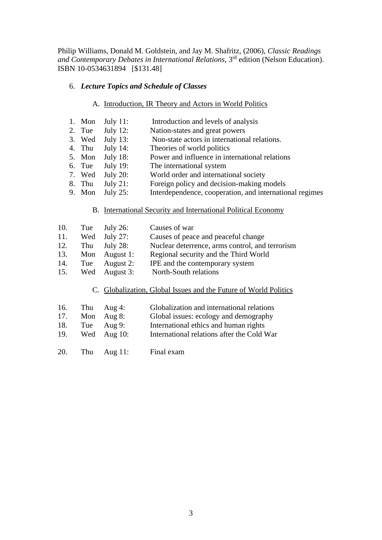Philip Williams, Donald M. Goldstein, and Jay M. Shafritz, (2006), *Classic Readings*  and Contemporary Debates in International Relations, 3<sup>rd</sup> edition (Nelson Education). ISBN 10-0534631894 [\$131.48]

### 6. *Lecture Topics and Schedule of Classes*

# A. Introduction, IR Theory and Actors in World Politics

- 1. Mon July 11: Introduction and levels of analysis
- 2. Tue July 12: Nation-states and great powers
- 3. Wed July 13: Non-state actors in international relations.
- 4. Thu July 14: Theories of world politics
- 5. Mon July 18: Power and influence in international relations
- 6. Tue July 19: The international system
- 7. Wed July 20: World order and international society
- 8. Thu July 21: Foreign policy and decision-making models
- 9. Mon July 25: Interdependence, cooperation, and international regimes

#### B. International Security and International Political Economy

| 10. | Tue | July 26:       | Causes of war                                   |
|-----|-----|----------------|-------------------------------------------------|
| 11. |     | Wed July 27:   | Causes of peace and peaceful change             |
| 12. |     | Thu $July 28:$ | Nuclear deterrence, arms control, and terrorism |
| 13. |     | Mon August 1:  | Regional security and the Third World           |
| 14. | Tue | August 2:      | IPE and the contemporary system                 |
| 15. | Wed | August 3:      | North-South relations                           |

# C. Globalization, Global Issues and the Future of World Politics

- 16. Thu Aug 4: Globalization and international relations
- 17. Mon Aug 8: Global issues: ecology and demography
- 18. Tue Aug 9: International ethics and human rights
- 19. Wed Aug 10: International relations after the Cold War
- 20. Thu Aug 11: Final exam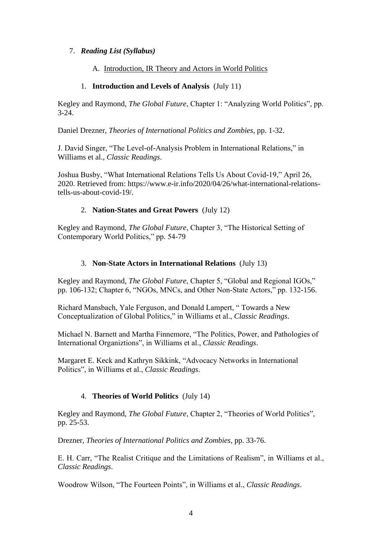# 7. *Reading List (Syllabus)*

### A. Introduction, IR Theory and Actors in World Politics

# 1. **Introduction and Levels of Analysis** (July 11)

Kegley and Raymond, *The Global Future*, Chapter 1: "Analyzing World Politics", pp. 3-24.

Daniel Drezner, *Theories of International Politics and Zombies*, pp. 1-32.

J. David Singer, "The Level-of-Analysis Problem in International Relations," in Williams et al., *Classic Readings*.

Joshua Busby, "What International Relations Tells Us About Covid-19," April 26, 2020. Retrieved from: https://www.e-ir.info/2020/04/26/what-international-relationstells-us-about-covid-19/.

### 2. **Nation-States and Great Powers** (July 12)

Kegley and Raymond, *The Global Future*, Chapter 3, "The Historical Setting of Contemporary World Politics," pp. 54-79

### 3. **Non-State Actors in International Relations** (July 13)

Kegley and Raymond, *The Global Future*, Chapter 5, "Global and Regional IGOs," pp. 106-132; Chapter 6, "NGOs, MNCs, and Other Non-State Actors," pp. 132-156.

Richard Mansbach, Yale Ferguson, and Donald Lampert, " Towards a New Conceptualization of Global Politics," in Williams et al., *Classic Readings*.

Michael N. Barnett and Martha Finnemore, "The Politics, Power, and Pathologies of International Organiztions", in Williams et al., *Classic Readings*.

Margaret E. Keck and Kathryn Sikkink, "Advocacy Networks in International Politics", in Williams et al., *Classic Readings*.

# 4. **Theories of World Politics** (July 14)

Kegley and Raymond, *The Global Future*, Chapter 2, "Theories of World Politics", pp. 25-53.

Drezner, *Theories of International Politics and Zombies*, pp. 33-76.

E. H. Carr, "The Realist Critique and the Limitations of Realism", in Williams et al., *Classic Readings*.

Woodrow Wilson, "The Fourteen Points", in Williams et al., *Classic Readings*.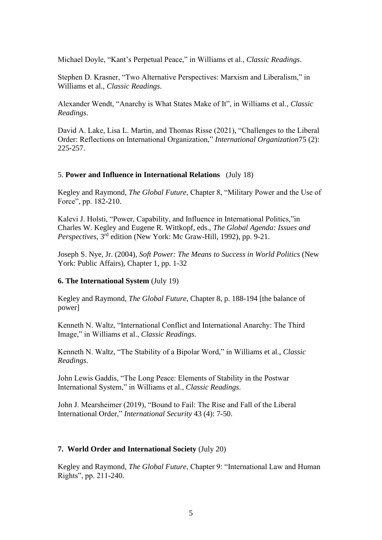Michael Doyle, "Kant's Perpetual Peace," in Williams et al., *Classic Readings*.

Stephen D. Krasner, "Two Alternative Perspectives: Marxism and Liberalism," in Williams et al., *Classic Readings*.

Alexander Wendt, "Anarchy is What States Make of It", in Williams et al., *Classic Readings*.

David A. Lake, Lisa L. Martin, and Thomas Risse (2021), "Challenges to the Liberal Order: Reflections on International Organization," *International Organization*75 (2): 225-257.

#### 5. **Power and Influence in International Relations** (July 18)

Kegley and Raymond, *The Global Future*, Chapter 8, "Military Power and the Use of Force", pp. 182-210.

Kalevi J. Holsti, "Power, Capability, and Influence in International Politics,"in Charles W. Kegley and Eugene R. Wittkopf, eds., *The Global Agenda: Issues and Perspectives*, 3rd edition (New York: Mc Graw-Hill, 1992), pp. 9-21.

Joseph S. Nye, Jr. (2004), *Soft Power: The Means to Success in World Politics* (New York: Public Affairs), Chapter 1, pp. 1-32

#### **6. The International System** (July 19)

Kegley and Raymond, *The Global Future,* Chapter 8, p. 188-194 [the balance of power]

Kenneth N. Waltz, "International Conflict and International Anarchy: The Third Image," in Williams et al., *Classic Readings*.

Kenneth N. Waltz, "The Stability of a Bipolar Word," in Williams et al., *Classic Readings*.

John Lewis Gaddis, "The Long Peace: Elements of Stability in the Postwar International System," in Williams et al., *Classic Readings*.

John J. Mearsheimer (2019), "Bound to Fail: The Rise and Fall of the Liberal International Order," *International Security* 43 (4): 7-50.

#### **7. World Order and International Society** (July 20)

Kegley and Raymond, *The Global Future*, Chapter 9: "International Law and Human Rights", pp. 211-240.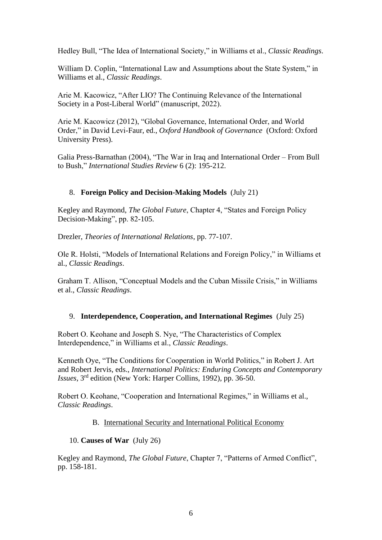Hedley Bull, "The Idea of International Society," in Williams et al., *Classic Readings*.

William D. Coplin, "International Law and Assumptions about the State System," in Williams et al., *Classic Readings*.

Arie M. Kacowicz, "After LIO? The Continuing Relevance of the International Society in a Post-Liberal World" (manuscript, 2022).

Arie M. Kacowicz (2012), "Global Governance, International Order, and World Order," in David Levi-Faur, ed., *Oxford Handbook of Governance* (Oxford: Oxford University Press).

Galia Press-Barnathan (2004), "The War in Iraq and International Order – From Bull to Bush," *International Studies Review* 6 (2): 195-212.

# 8. **Foreign Policy and Decision-Making Models** (July 21)

Kegley and Raymond, *The Global Future*, Chapter 4, "States and Foreign Policy Decision-Making", pp. 82-105.

Drezler, *Theories of International Relations*, pp. 77-107.

Ole R. Holsti, "Models of International Relations and Foreign Policy," in Williams et al., *Classic Readings*.

Graham T. Allison, "Conceptual Models and the Cuban Missile Crisis," in Williams et al., *Classic Readings*.

# 9. **Interdependence, Cooperation, and International Regimes** (July 25)

Robert O. Keohane and Joseph S. Nye, "The Characteristics of Complex Interdependence," in Williams et al., *Classic Readings*.

Kenneth Oye, "The Conditions for Cooperation in World Politics," in Robert J. Art and Robert Jervis, eds., *International Politics: Enduring Concepts and Contemporary Issues*, 3rd edition (New York: Harper Collins, 1992), pp. 36-50.

Robert O. Keohane, "Cooperation and International Regimes," in Williams et al., *Classic Readings*.

# B. International Security and International Political Economy

#### 10. **Causes of War** (July 26)

Kegley and Raymond, *The Global Future*, Chapter 7, "Patterns of Armed Conflict", pp. 158-181.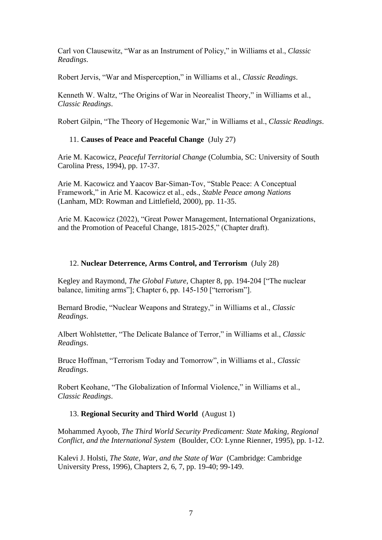Carl von Clausewitz, "War as an Instrument of Policy," in Williams et al., *Classic Readings*.

Robert Jervis, "War and Misperception," in Williams et al., *Classic Readings*.

Kenneth W. Waltz, "The Origins of War in Neorealist Theory," in Williams et al., *Classic Readings*.

Robert Gilpin, "The Theory of Hegemonic War," in Williams et al., *Classic Readings*.

# 11. **Causes of Peace and Peaceful Change** (July 27)

Arie M. Kacowicz, *Peaceful Territorial Change* (Columbia, SC: University of South Carolina Press, 1994), pp. 17-37.

Arie M. Kacowicz and Yaacov Bar-Siman-Tov, "Stable Peace: A Conceptual Framework," in Arie M. Kacowicz et al., eds., *Stable Peace among Nations* (Lanham, MD: Rowman and Littlefield, 2000), pp. 11-35.

Arie M. Kacowicz (2022), "Great Power Management, International Organizations, and the Promotion of Peaceful Change, 1815-2025," (Chapter draft).

### 12. **Nuclear Deterrence, Arms Control, and Terrorism** (July 28)

Kegley and Raymond, *The Global Future*, Chapter 8, pp. 194-204 ["The nuclear balance, limiting arms"]; Chapter 6, pp. 145-150 ["terrorism"].

Bernard Brodie, "Nuclear Weapons and Strategy," in Williams et al., *Classic Readings*.

Albert Wohlstetter, "The Delicate Balance of Terror," in Williams et al., *Classic Readings*.

Bruce Hoffman, "Terrorism Today and Tomorrow", in Williams et al., *Classic Readings*.

Robert Keohane, "The Globalization of Informal Violence," in Williams et al., *Classic Readings*.

# 13. **Regional Security and Third World** (August 1)

Mohammed Ayoob, *The Third World Security Predicament: State Making, Regional Conflict, and the International System* (Boulder, CO: Lynne Rienner, 1995), pp. 1-12.

Kalevi J. Holsti, *The State, War, and the State of War* (Cambridge: Cambridge University Press, 1996), Chapters 2, 6, 7, pp. 19-40; 99-149.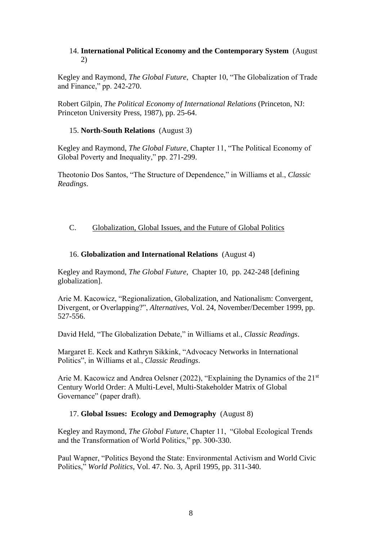### 14. **International Political Economy and the Contemporary System** (August 2)

Kegley and Raymond, *The Global Future*, Chapter 10, "The Globalization of Trade and Finance," pp. 242-270.

Robert Gilpin, *The Political Economy of International Relations* (Princeton, NJ: Princeton University Press, 1987), pp. 25-64.

### 15. **North-South Relations** (August 3)

Kegley and Raymond, *The Global Future*, Chapter 11, "The Political Economy of Global Poverty and Inequality," pp. 271-299.

Theotonio Dos Santos, "The Structure of Dependence," in Williams et al., *Classic Readings*.

# C. Globalization, Global Issues, and the Future of Global Politics

### 16. **Globalization and International Relations** (August 4)

Kegley and Raymond, *The Global Future*, Chapter 10, pp. 242-248 [defining globalization].

Arie M. Kacowicz, "Regionalization, Globalization, and Nationalism: Convergent, Divergent, or Overlapping?", *Alternatives*, Vol. 24, November/December 1999, pp. 527-556.

David Held, "The Globalization Debate," in Williams et al., *Classic Readings*.

Margaret E. Keck and Kathryn Sikkink, "Advocacy Networks in International Politics", in Williams et al., *Classic Readings*.

Arie M. Kacowicz and Andrea Oelsner (2022), "Explaining the Dynamics of the 21st Century World Order: A Multi-Level, Multi-Stakeholder Matrix of Global Governance" (paper draft).

# 17. **Global Issues: Ecology and Demography** (August 8)

Kegley and Raymond, *The Global Future*, Chapter 11, "Global Ecological Trends and the Transformation of World Politics," pp. 300-330.

Paul Wapner, "Politics Beyond the State: Environmental Activism and World Civic Politics," *World Politics*, Vol. 47. No. 3, April 1995, pp. 311-340.